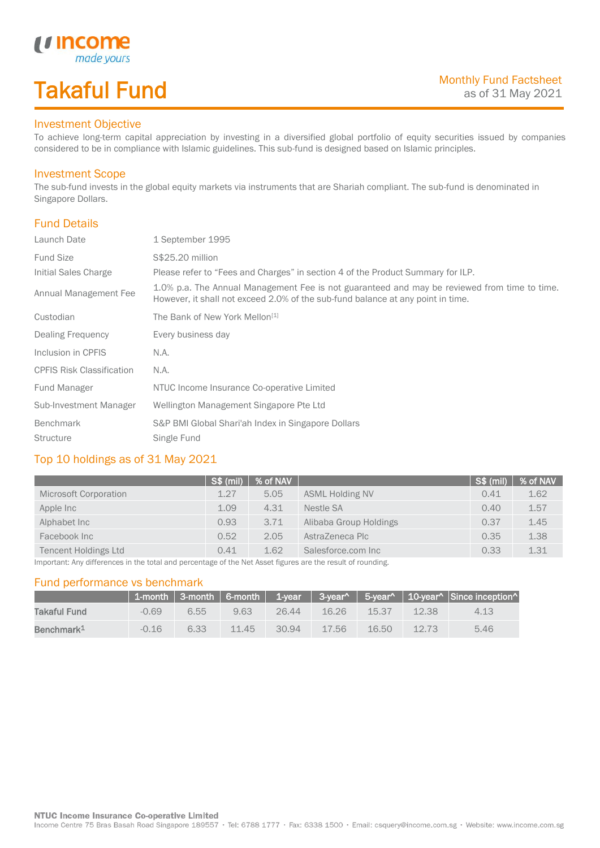## Takaful Fund

made your.

### Investment Objective

*u* incom

To achieve long-term capital appreciation by investing in a diversified global portfolio of equity securities issued by companies considered to be in compliance with Islamic guidelines. This sub-fund is designed based on Islamic principles.

#### Investment Scope

The sub-fund invests in the global equity markets via instruments that are Shariah compliant. The sub-fund is denominated in Singapore Dollars.

### Fund Details

I

| Launch Date                      | 1 September 1995                                                                                                                                                                |
|----------------------------------|---------------------------------------------------------------------------------------------------------------------------------------------------------------------------------|
| <b>Fund Size</b>                 | S\$25.20 million                                                                                                                                                                |
| Initial Sales Charge             | Please refer to "Fees and Charges" in section 4 of the Product Summary for ILP.                                                                                                 |
| Annual Management Fee            | 1.0% p.a. The Annual Management Fee is not guaranteed and may be reviewed from time to time.<br>However, it shall not exceed 2.0% of the sub-fund balance at any point in time. |
| Custodian                        | The Bank of New York Mellon <sup>[1]</sup>                                                                                                                                      |
| Dealing Frequency                | Every business day                                                                                                                                                              |
| Inclusion in CPFIS               | N.A.                                                                                                                                                                            |
| <b>CPFIS Risk Classification</b> | N.A.                                                                                                                                                                            |
| Fund Manager                     | NTUC Income Insurance Co-operative Limited                                                                                                                                      |
| Sub-Investment Manager           | Wellington Management Singapore Pte Ltd                                                                                                                                         |
| <b>Benchmark</b>                 | S&P BMI Global Shari'ah Index in Singapore Dollars                                                                                                                              |
| <b>Structure</b>                 | Single Fund                                                                                                                                                                     |

#### Top 10 holdings as of 31 May 2021

|                                                                                                            | S\$ (mil) | $ %$ of NAV $ $ |                        | <b>S\$ (mil)</b> | % of NAV |  |
|------------------------------------------------------------------------------------------------------------|-----------|-----------------|------------------------|------------------|----------|--|
| Microsoft Corporation                                                                                      | 1.27      | 5.05            | <b>ASML Holding NV</b> | 0.41             | 1.62     |  |
| Apple Inc                                                                                                  | 1.09      | 4.31            | Nestle SA              | 0.40             | 1.57     |  |
| Alphabet Inc                                                                                               | 0.93      | 3.71            | Alibaba Group Holdings | 0.37             | 1.45     |  |
| Facebook Inc                                                                                               | 0.52      | 2.05            | AstraZeneca Plc        | 0.35             | 1.38     |  |
| <b>Tencent Holdings Ltd</b>                                                                                | 0.41      | 1.62            | Salesforce.com Inc     | 0.33             | 1.31     |  |
| Important: Any differences in the total and perceptade of the Net Asset figures are the result of rounding |           |                 |                        |                  |          |  |

differences in the total and percentage of the Net Asset figures are the result of rounding.

#### Fund performance vs benchmark

|                        |         |      |       |          |          |            |       | 1-month   3-month   6-month   1-year   3-year^   5-year^   10-year^   Since inception^ |
|------------------------|---------|------|-------|----------|----------|------------|-------|----------------------------------------------------------------------------------------|
| Takaful Fund           | $-0.69$ | 6.55 | 9.63  | $-26.44$ | $-16.26$ | $-15.37 -$ | 12.38 | 4.13                                                                                   |
| Benchmark <sup>1</sup> | $-0.16$ | 6.33 | 11.45 | 30.94    | 17.56    | 16.50      | 12.73 | 5.46                                                                                   |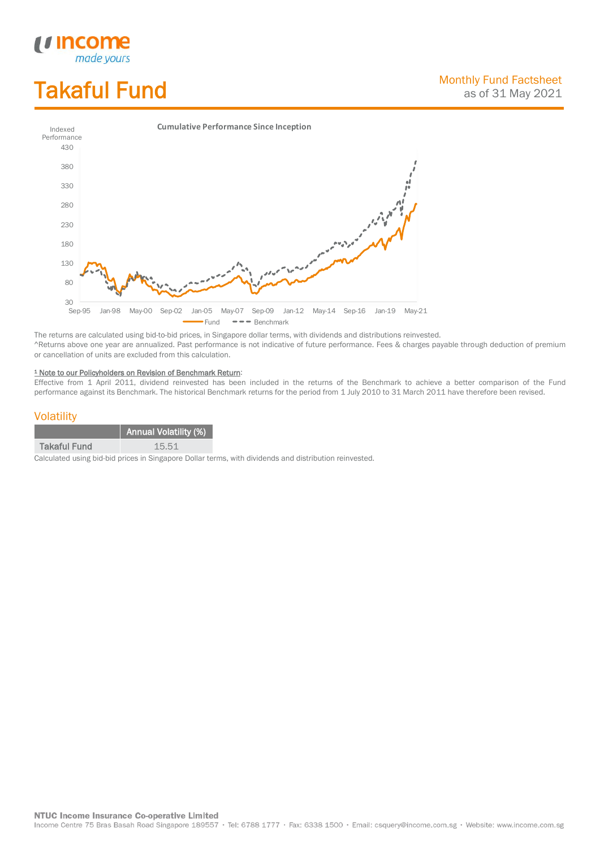# Takaful Fund

*<u>Income</u>*<br>made yours

I



The returns are calculated using bid-to-bid prices, in Singapore dollar terms, with dividends and distributions reinvested. ^Returns above one year are annualized. Past performance is not indicative of future performance. Fees & charges payable through deduction of premium or cancellation of units are excluded from this calculation.

#### <sup>1</sup> Note to our Policyholders on Revision of Benchmark Return:

Effective from 1 April 2011, dividend reinvested has been included in the returns of the Benchmark to achieve a better comparison of the Fund performance against its Benchmark. The historical Benchmark returns for the period from 1 July 2010 to 31 March 2011 have therefore been revised.

#### **Volatility**

|                     | <b>Annual Volatility (%)</b> |
|---------------------|------------------------------|
| <b>Takaful Fund</b> | 15.51                        |

Calculated using bid-bid prices in Singapore Dollar terms, with dividends and distribution reinvested.

**NTUC Income Insurance Co-operative Limited** 

Income Centre 75 Bras Basah Road Singapore 189557 · Tel: 6788 1777 · Fax: 6338 1500 · Email: csquery@income.com.sg · Website: www.income.com.sg